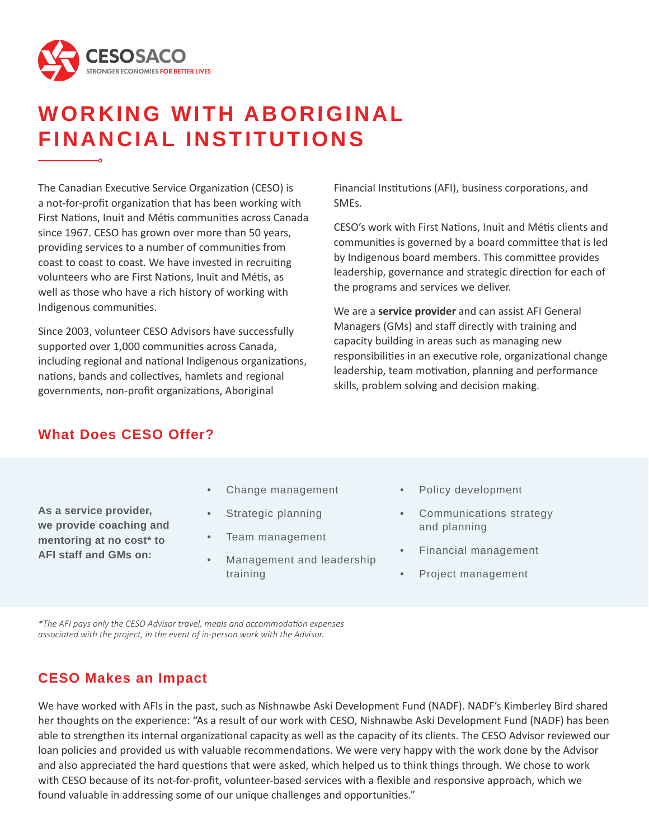

# **WORKING WITH ABORIGINAL FINANCIAL INSTITUTIONS**

The Canadian Executive Service Organization (CESO) is a not-for-profit organization that has been working with First Nations, Inuit and Métis communities across Canada since 1967. CESO has grown over more than 50 years, providing services to a number of communities from coast to coast to coast. We have invested in recruiting volunteers who are First Nations, Inuit and Métis, as well as those who have a rich history of working with Indigenous communities.

Since 2003, volunteer CESO Advisors have successfully supported over 1,000 communities across Canada, including regional and national Indigenous organizations, nations, bands and collectives, hamlets and regional governments, non-profit organizations, Aboriginal

Financial Institutions (AFI), business corporations, and SMEs.

CESO's work with First Nations, Inuit and Métis clients and communities is governed by a board committee that is led by Indigenous board members. This committee provides leadership, governance and strategic direction for each of the programs and services we deliver.

We are a **service provider** and can assist AFI General Managers (GMs) and staff directly with training and capacity building in areas such as managing new responsibilities in an executive role, organizational change leadership, team motivation, planning and performance skills, problem solving and decision making.

## **What Does CESO Offer?**

**As a service provider, we provide coaching and mentoring at no cost\* to AFI staff and GMs on:** 

- Change management
- Strategic planning
- Team management
- Management and leadership training
- Policy development
- Communications strategy and planning
- Financial management
- Project management

*\*The AFI pays only the CESO Advisor travel, meals and accommodation expenses associated with the project, in the event of in-person work with the Advisor.* 

### **CESO Makes an Impact**

We have worked with AFIs in the past, such as Nishnawbe Aski Development Fund (NADF). NADF's Kimberley Bird shared her thoughts on the experience: "As a result of our work with CESO, Nishnawbe Aski Development Fund (NADF) has been able to strengthen its internal organizational capacity as well as the capacity of its clients. The CESO Advisor reviewed our loan policies and provided us with valuable recommendations. We were very happy with the work done by the Advisor and also appreciated the hard questions that were asked, which helped us to think things through. We chose to work with CESO because of its not-for-profit, volunteer-based services with a flexible and responsive approach, which we found valuable in addressing some of our unique challenges and opportunities."